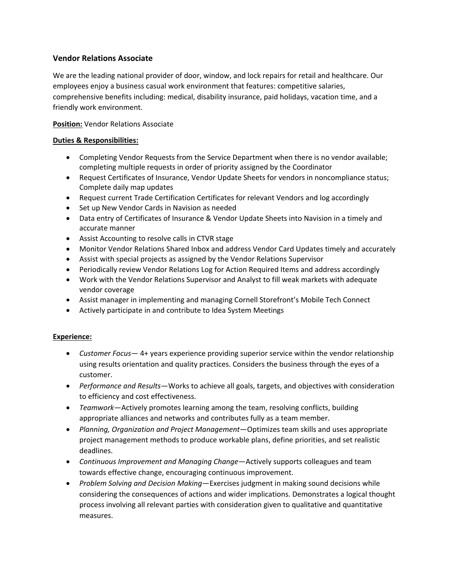# **Vendor Relations Associate**

We are the leading national provider of door, window, and lock repairs for retail and healthcare. Our employees enjoy a business casual work environment that features: competitive salaries, comprehensive benefits including: medical, disability insurance, paid holidays, vacation time, and a friendly work environment.

# **Position:** Vendor Relations Associate

### **Duties & Responsibilities:**

- Completing Vendor Requests from the Service Department when there is no vendor available; completing multiple requests in order of priority assigned by the Coordinator
- Request Certificates of Insurance, Vendor Update Sheets for vendors in noncompliance status; Complete daily map updates
- Request current Trade Certification Certificates for relevant Vendors and log accordingly
- Set up New Vendor Cards in Navision as needed
- Data entry of Certificates of Insurance & Vendor Update Sheets into Navision in a timely and accurate manner
- Assist Accounting to resolve calls in CTVR stage
- Monitor Vendor Relations Shared Inbox and address Vendor Card Updates timely and accurately
- Assist with special projects as assigned by the Vendor Relations Supervisor
- Periodically review Vendor Relations Log for Action Required Items and address accordingly
- Work with the Vendor Relations Supervisor and Analyst to fill weak markets with adequate vendor coverage
- Assist manager in implementing and managing Cornell Storefront's Mobile Tech Connect
- Actively participate in and contribute to Idea System Meetings

#### **Experience:**

- *Customer Focus* 4+ years experience providing superior service within the vendor relationship using results orientation and quality practices. Considers the business through the eyes of a customer.
- *Performance and Results*—Works to achieve all goals, targets, and objectives with consideration to efficiency and cost effectiveness.
- *Teamwork*—Actively promotes learning among the team, resolving conflicts, building appropriate alliances and networks and contributes fully as a team member.
- *Planning, Organization and Project Management*—Optimizes team skills and uses appropriate project management methods to produce workable plans, define priorities, and set realistic deadlines.
- *Continuous Improvement and Managing Change*—Actively supports colleagues and team towards effective change, encouraging continuous improvement.
- *Problem Solving and Decision Making*—Exercises judgment in making sound decisions while considering the consequences of actions and wider implications. Demonstrates a logical thought process involving all relevant parties with consideration given to qualitative and quantitative measures.